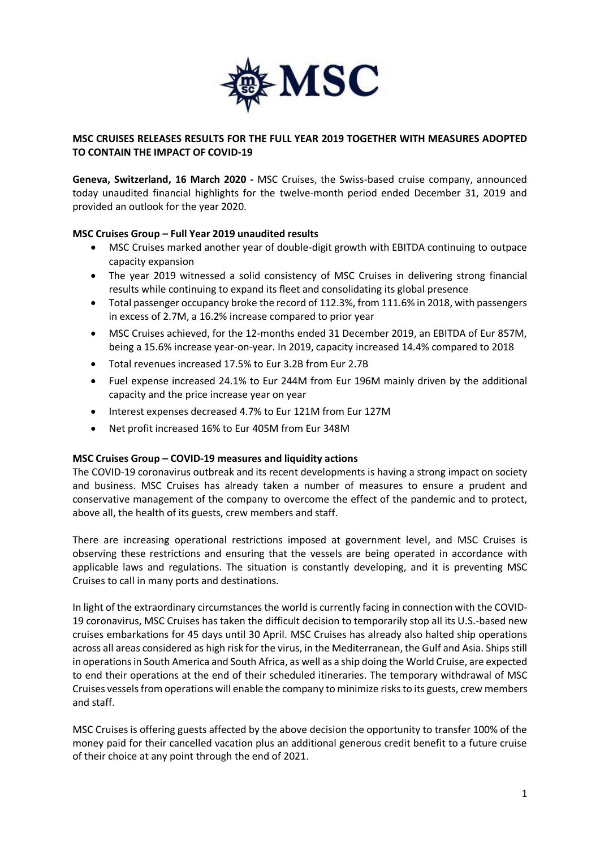

# **MSC CRUISES RELEASES RESULTS FOR THE FULL YEAR 2019 TOGETHER WITH MEASURES ADOPTED TO CONTAIN THE IMPACT OF COVID-19**

**Geneva, Switzerland, 16 March 2020 -** MSC Cruises, the Swiss-based cruise company, announced today unaudited financial highlights for the twelve-month period ended December 31, 2019 and provided an outlook for the year 2020.

# **MSC Cruises Group – Full Year 2019 unaudited results**

- MSC Cruises marked another year of double-digit growth with EBITDA continuing to outpace capacity expansion
- The year 2019 witnessed a solid consistency of MSC Cruises in delivering strong financial results while continuing to expand its fleet and consolidating its global presence
- Total passenger occupancy broke the record of 112.3%, from 111.6% in 2018, with passengers in excess of 2.7M, a 16.2% increase compared to prior year
- MSC Cruises achieved, for the 12-months ended 31 December 2019, an EBITDA of Eur 857M, being a 15.6% increase year-on-year. In 2019, capacity increased 14.4% compared to 2018
- Total revenues increased 17.5% to Eur 3.2B from Eur 2.7B
- Fuel expense increased 24.1% to Eur 244M from Eur 196M mainly driven by the additional capacity and the price increase year on year
- Interest expenses decreased 4.7% to Eur 121M from Eur 127M
- Net profit increased 16% to Eur 405M from Eur 348M

#### **MSC Cruises Group – COVID-19 measures and liquidity actions**

The COVID-19 coronavirus outbreak and its recent developments is having a strong impact on society and business. MSC Cruises has already taken a number of measures to ensure a prudent and conservative management of the company to overcome the effect of the pandemic and to protect, above all, the health of its guests, crew members and staff.

There are increasing operational restrictions imposed at government level, and MSC Cruises is observing these restrictions and ensuring that the vessels are being operated in accordance with applicable laws and regulations. The situation is constantly developing, and it is preventing MSC Cruises to call in many ports and destinations.

In light of the extraordinary circumstances the world is currently facing in connection with the COVID-19 coronavirus, MSC Cruises has taken the difficult decision to temporarily stop all its U.S.-based new cruises embarkations for 45 days until 30 April. MSC Cruises has already also halted ship operations across all areas considered as high risk for the virus, in the Mediterranean, the Gulf and Asia. Ships still in operations in South America and South Africa, as well as a ship doing the World Cruise, are expected to end their operations at the end of their scheduled itineraries. The temporary withdrawal of MSC Cruises vessels from operations will enable the company to minimize risks to its guests, crew members and staff.

MSC Cruises is offering guests affected by the above decision the opportunity to transfer 100% of the money paid for their cancelled vacation plus an additional generous credit benefit to a future cruise of their choice at any point through the end of 2021.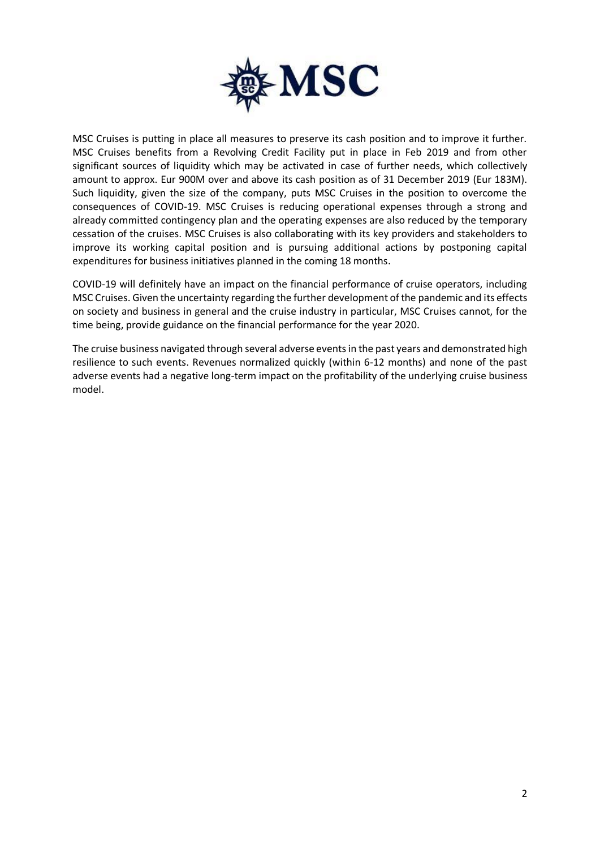

MSC Cruises is putting in place all measures to preserve its cash position and to improve it further. MSC Cruises benefits from a Revolving Credit Facility put in place in Feb 2019 and from other significant sources of liquidity which may be activated in case of further needs, which collectively amount to approx. Eur 900M over and above its cash position as of 31 December 2019 (Eur 183M). Such liquidity, given the size of the company, puts MSC Cruises in the position to overcome the consequences of COVID-19. MSC Cruises is reducing operational expenses through a strong and already committed contingency plan and the operating expenses are also reduced by the temporary cessation of the cruises. MSC Cruises is also collaborating with its key providers and stakeholders to improve its working capital position and is pursuing additional actions by postponing capital expenditures for business initiatives planned in the coming 18 months.

COVID-19 will definitely have an impact on the financial performance of cruise operators, including MSC Cruises. Given the uncertainty regarding the further development of the pandemic and its effects on society and business in general and the cruise industry in particular, MSC Cruises cannot, for the time being, provide guidance on the financial performance for the year 2020.

The cruise business navigated through several adverse events in the past years and demonstrated high resilience to such events. Revenues normalized quickly (within 6-12 months) and none of the past adverse events had a negative long-term impact on the profitability of the underlying cruise business model.